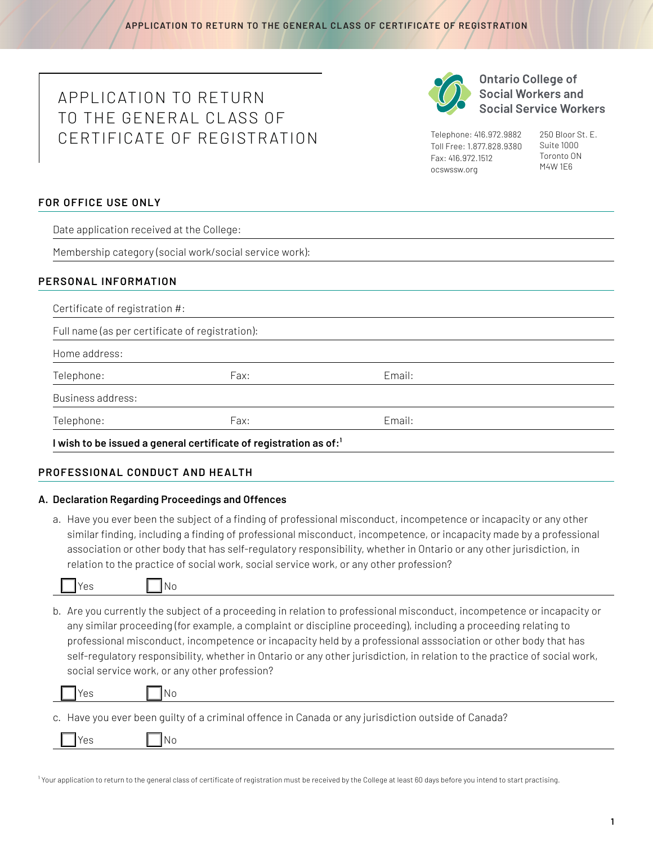# APPLICATION TO RETURN TO THE GENERAL CLASS OF CERTIFICATE OF REGISTR ATION



**Ontario College of Social Workers and Social Service Workers** 

Telephone: 416.972.9882 Toll Free: 1.877.828.9380 Fax: 416.972.1512 [ocswssw.org](http://ocswssw.org)

250 Bloor St. E. Suite 1000 Toronto ON M4W 1E6

# **FOR OFFICE USE ONLY**

Date application received at the College:

Membership category (social work/social service work):

# **PERSONAL INFORMATION**

| Full name (as per certificate of registration): |      |        |  |
|-------------------------------------------------|------|--------|--|
| Home address:                                   |      |        |  |
| Telephone:                                      | Fax: | Email: |  |
| Business address:                               |      |        |  |
| Telephone:                                      | Fax: | Email: |  |

# **PROFESSIONAL CONDUCT AND HEALTH**

# **A. Declaration Regarding Proceedings and Offences**

 $No$ 

a. Have you ever been the subject of a finding of professional misconduct, incompetence or incapacity or any other similar finding, including a finding of professional misconduct, incompetence, or incapacity made by a professional association or other body that has self-regulatory responsibility, whether in Ontario or any other jurisdiction, in relation to the practice of social work, social service work, or any other profession?

b. Are you currently the subject of a proceeding in relation to professional misconduct, incompetence or incapacity or any similar proceeding (for example, a complaint or discipline proceeding), including a proceeding relating to professional misconduct, incompetence or incapacity held by a professional asssociation or other body that has self-regulatory responsibility, whether in Ontario or any other jurisdiction, in relation to the practice of social work, social service work, or any other profession?

| $\Box$ Yes | $\overline{\mathsf{No}}$                                                                            |
|------------|-----------------------------------------------------------------------------------------------------|
|            | c. Have you ever been guilty of a criminal offence in Canada or any jurisdiction outside of Canada? |

| ____ |  |  |  |
|------|--|--|--|
|      |  |  |  |

<sup>1</sup> Your application to return to the general class of certificate of registration must be received by the College at least 60 days before you intend to start practising.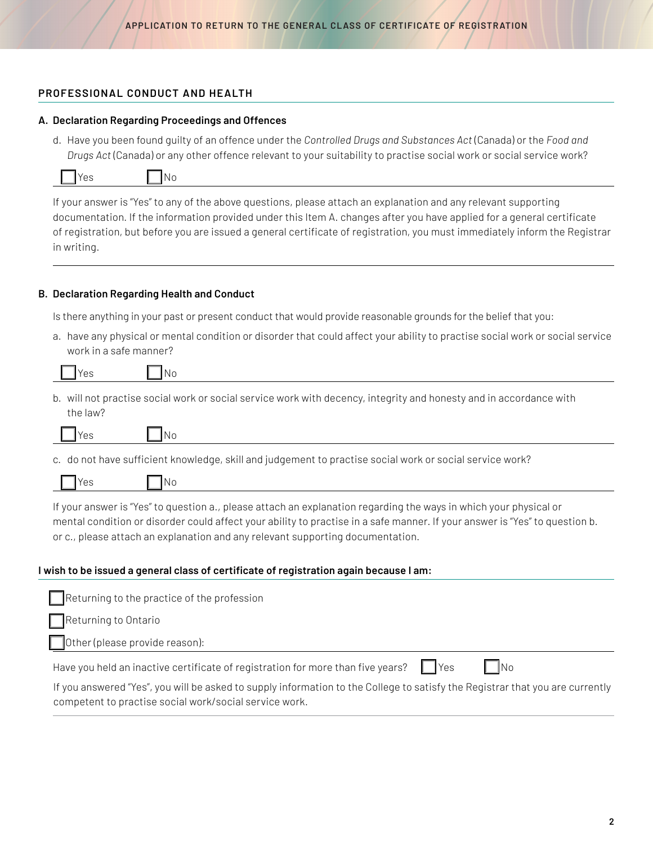### **PROFESSIONAL CONDUCT AND HEALTH**

#### **A. Declaration Regarding Proceedings and Offences**

d. Have you been found guilty of an offence under the *Controlled Drugs and Substances Act* (Canada) or the *Food and Drugs Act* (Canada) or any other offence relevant to your suitability to practise social work or social service work?

|--|

N<sub>o</sub>

If your answer is "Yes" to any of the above questions, please attach an explanation and any relevant supporting documentation. If the information provided under this Item A. changes after you have applied for a general certificate of registration, but before you are issued a general certificate of registration, you must immediately inform the Registrar in writing.

## **B. Declaration Regarding Health and Conduct**

Is there anything in your past or present conduct that would provide reasonable grounds for the belief that you:

a. have any physical or mental condition or disorder that could affect your ability to practise social work or social service work in a safe manner?

b. will not practise social work or social service work with decency, integrity and honesty and in accordance with the law?

c. do not have sufficient knowledge, skill and judgement to practise social work or social service work?

If your answer is "Yes" to question a., please attach an explanation regarding the ways in which your physical or mental condition or disorder could affect your ability to practise in a safe manner. If your answer is "Yes" to question b. or c., please attach an explanation and any relevant supporting documentation.

#### **I wish to be issued a general class of certificate of registration again because I am:**

| $\Box$ Returning to the practice of the profession                                                                                                                                      |
|-----------------------------------------------------------------------------------------------------------------------------------------------------------------------------------------|
| Returning to Ontario                                                                                                                                                                    |
| Other (please provide reason):                                                                                                                                                          |
| $\mathsf{No}$<br>Have you held an inactive certificate of registration for more than five years?   Yes                                                                                  |
| If you answered "Yes", you will be asked to supply information to the College to satisfy the Registrar that you are currently<br>competent to practise social work/social service work. |